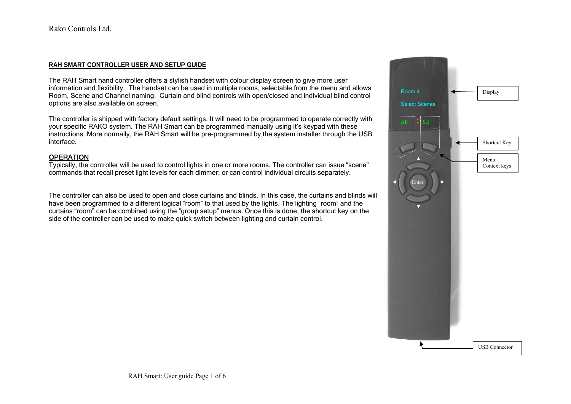### **RAH SMART CONTROLLER USER AND SETUP GUIDE**

The RAH Smart hand controller offers a stylish handset with colour display screen to give more user information and flexibility. The handset can be used in multiple rooms, selectable from the menu and allows Room, Scene and Channel naming. Curtain and blind controls with open/closed and individual blind control options are also available on screen.

 The controller is shipped with factory default settings. It will need to be programmed to operate correctly with your specific RAKO system. The RAH Smart can be programmed manually using it's keypad with these instructions. More normally, the RAH Smart will be pre-programmed by the system installer through the USB interface.

#### OPERATION

Typically, the controller will be used to control lights in one or more rooms. The controller can issue "scene" commands that recall preset light levels for each dimmer; or can control individual circuits separately.

The controller can also be used to open and close curtains and blinds. In this case, the curtains and blinds will have been programmed to a different logical "room" to that used by the lights. The lighting "room" and the curtains "room" can be combined using the "group setup" menus. Once this is done, the shortcut key on the side of the controller can be used to make quick switch between lighting and curtain control.

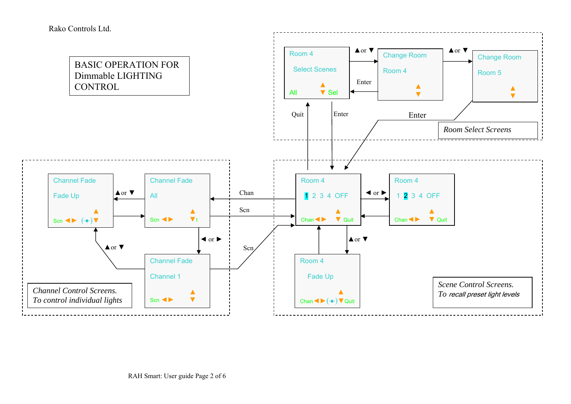

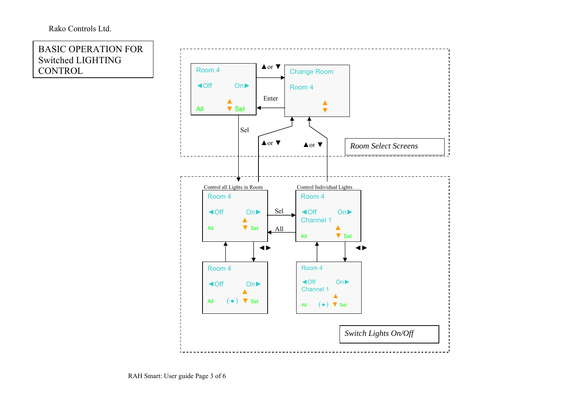## Rako Controls Ltd.

BASIC OPERATION FOR Switched LIGHTING CONTROL

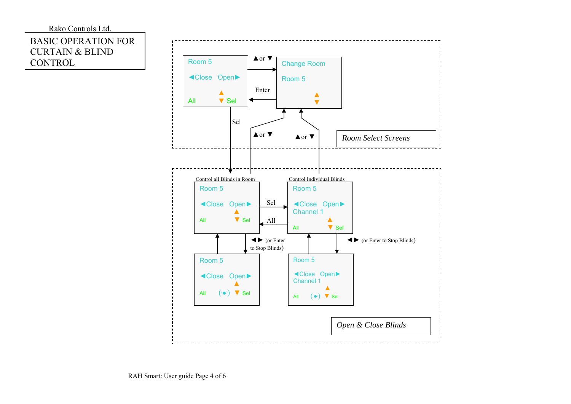# Rako Controls Ltd. BASIC OPERATION FOR CURTAIN & BLIND CONTROL

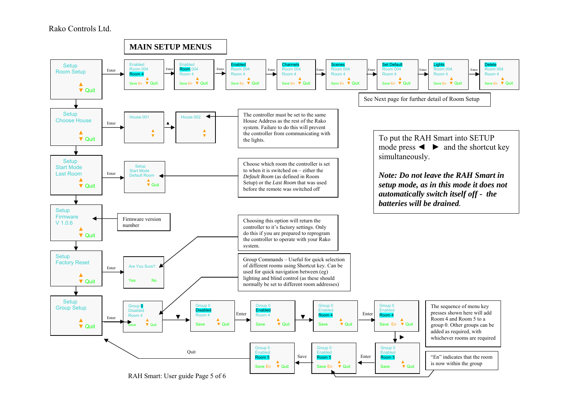### Rako Controls Ltd.